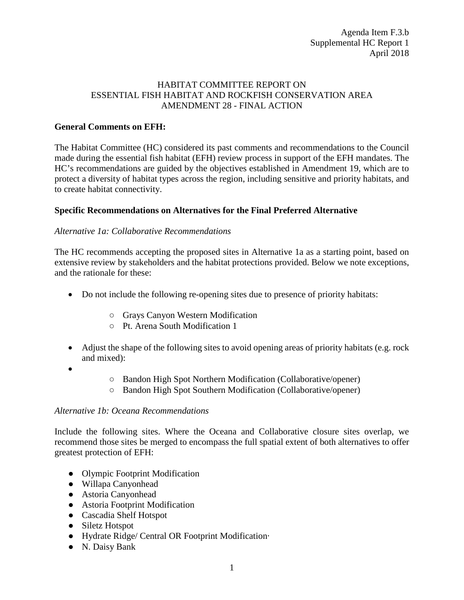## HABITAT COMMITTEE REPORT ON ESSENTIAL FISH HABITAT AND ROCKFISH CONSERVATION AREA AMENDMENT 28 - FINAL ACTION

## **General Comments on EFH:**

The Habitat Committee (HC) considered its past comments and recommendations to the Council made during the essential fish habitat (EFH) review process in support of the EFH mandates. The HC's recommendations are guided by the objectives established in Amendment 19, which are to protect a diversity of habitat types across the region, including sensitive and priority habitats, and to create habitat connectivity.

## **Specific Recommendations on Alternatives for the Final Preferred Alternative**

## *Alternative 1a: Collaborative Recommendations*

The HC recommends accepting the proposed sites in Alternative 1a as a starting point, based on extensive review by stakeholders and the habitat protections provided. Below we note exceptions, and the rationale for these:

- Do not include the following re-opening sites due to presence of priority habitats:
	- Grays Canyon Western Modification
	- Pt. Arena South Modification 1
- Adjust the shape of the following sites to avoid opening areas of priority habitats (e.g. rock and mixed):

•

- Bandon High Spot Northern Modification (Collaborative/opener)
- Bandon High Spot Southern Modification (Collaborative/opener)

#### *Alternative 1b: Oceana Recommendations*

Include the following sites. Where the Oceana and Collaborative closure sites overlap, we recommend those sites be merged to encompass the full spatial extent of both alternatives to offer greatest protection of EFH:

- Olympic Footprint Modification
- Willapa Canyonhead
- Astoria Canyonhead
- Astoria Footprint Modification
- Cascadia Shelf Hotspot
- Siletz Hotspot
- Hydrate Ridge/ Central OR Footprint Modification·
- N. Daisy Bank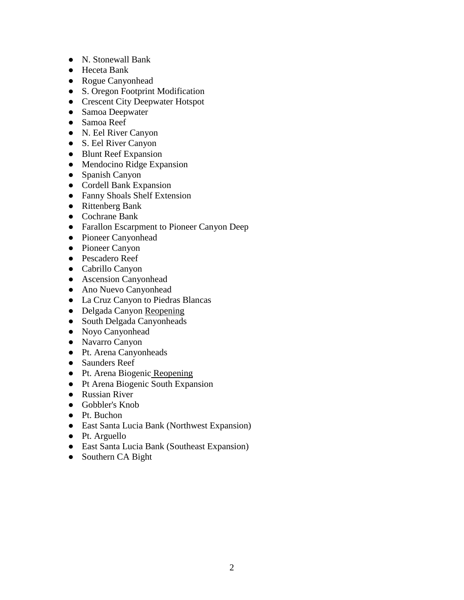- N. Stonewall Bank
- Heceta Bank
- Rogue Canyonhead
- S. Oregon Footprint Modification
- Crescent City Deepwater Hotspot
- Samoa Deepwater
- Samoa Reef
- N. Eel River Canyon
- S. Eel River Canyon
- Blunt Reef Expansion
- Mendocino Ridge Expansion
- Spanish Canyon
- Cordell Bank Expansion
- Fanny Shoals Shelf Extension
- Rittenberg Bank
- Cochrane Bank
- Farallon Escarpment to Pioneer Canyon Deep
- Pioneer Canyonhead
- Pioneer Canyon
- Pescadero Reef
- Cabrillo Canyon
- Ascension Canyonhead
- Ano Nuevo Canyonhead
- La Cruz Canyon to Piedras Blancas
- Delgada Canyon Reopening
- South Delgada Canyonheads
- Noyo Canyonhead
- Navarro Canyon
- Pt. Arena Canyonheads
- Saunders Reef
- Pt. Arena Biogenic Reopening
- Pt Arena Biogenic South Expansion
- Russian River
- Gobbler's Knob
- Pt. Buchon
- East Santa Lucia Bank (Northwest Expansion)
- Pt. Arguello
- East Santa Lucia Bank (Southeast Expansion)
- Southern CA Bight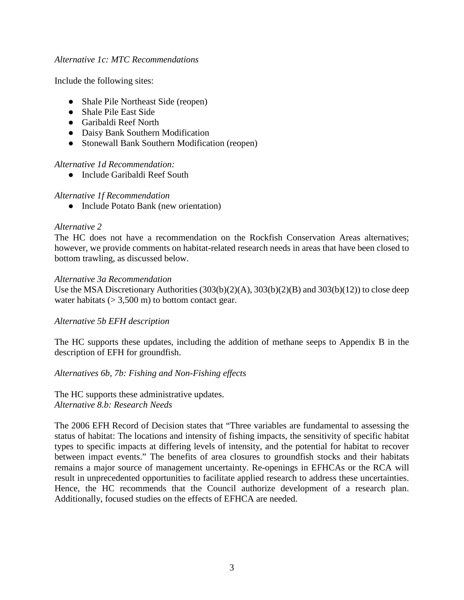#### *Alternative 1c: MTC Recommendations*

Include the following sites:

- Shale Pile Northeast Side (reopen)
- Shale Pile East Side
- Garibaldi Reef North
- Daisy Bank Southern Modification
- Stonewall Bank Southern Modification (reopen)

# *Alternative 1d Recommendation:*

● Include Garibaldi Reef South

## *Alternative 1f Recommendation*

• Include Potato Bank (new orientation)

## *Alternative 2*

The HC does not have a recommendation on the Rockfish Conservation Areas alternatives; however, we provide comments on habitat-related research needs in areas that have been closed to bottom trawling, as discussed below.

## *Alternative 3a Recommendation*

Use the MSA Discretionary Authorities  $(303(b)(2)(A), 303(b)(2)(B)$  and  $303(b)(12))$  to close deep water habitats  $(> 3,500 \text{ m})$  to bottom contact gear.

# *Alternative 5b EFH description*

The HC supports these updates, including the addition of methane seeps to Appendix B in the description of EFH for groundfish.

*Alternatives 6b, 7b: Fishing and Non-Fishing effects*

The HC supports these administrative updates. *Alternative 8.b: Research Needs*

The 2006 EFH Record of Decision states that "Three variables are fundamental to assessing the status of habitat: The locations and intensity of fishing impacts, the sensitivity of specific habitat types to specific impacts at differing levels of intensity, and the potential for habitat to recover between impact events." The benefits of area closures to groundfish stocks and their habitats remains a major source of management uncertainty. Re-openings in EFHCAs or the RCA will result in unprecedented opportunities to facilitate applied research to address these uncertainties. Hence, the HC recommends that the Council authorize development of a research plan. Additionally, focused studies on the effects of EFHCA are needed.